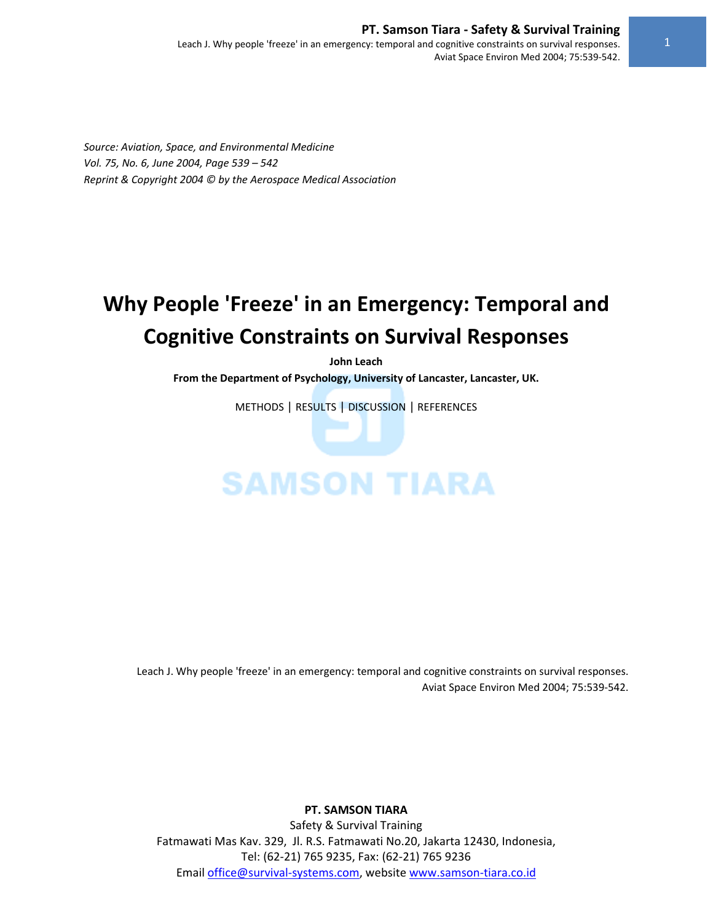# **PT. Samson Tiara ‐ Safety & Survival Training**

Leach J. Why people 'freeze' in an emergency: temporal and cognitive constraints on survival responses. Aviat Space Environ Med 2004; 75:539‐542.

*Source: Aviation, Space, and Environmental Medicine Vol. 75, No. 6, June 2004, Page 539 – 542 Reprint & Copyright 2004 © by the Aerospace Medical Association* 

# **Why People 'Freeze' in an Emergency: Temporal and Cognitive Constraints on Survival Responses**

**John Leach From the Department of Psychology, University of Lancaster, Lancaster, UK.**

METHODS | RESULTS | DISCUSSION | REFERENCES

# **SAMSON TIARA**

Leach J. Why people 'freeze' in an emergency: temporal and cognitive constraints on survival responses. Aviat Space Environ Med 2004; 75:539‐542.

**PT. SAMSON TIARA**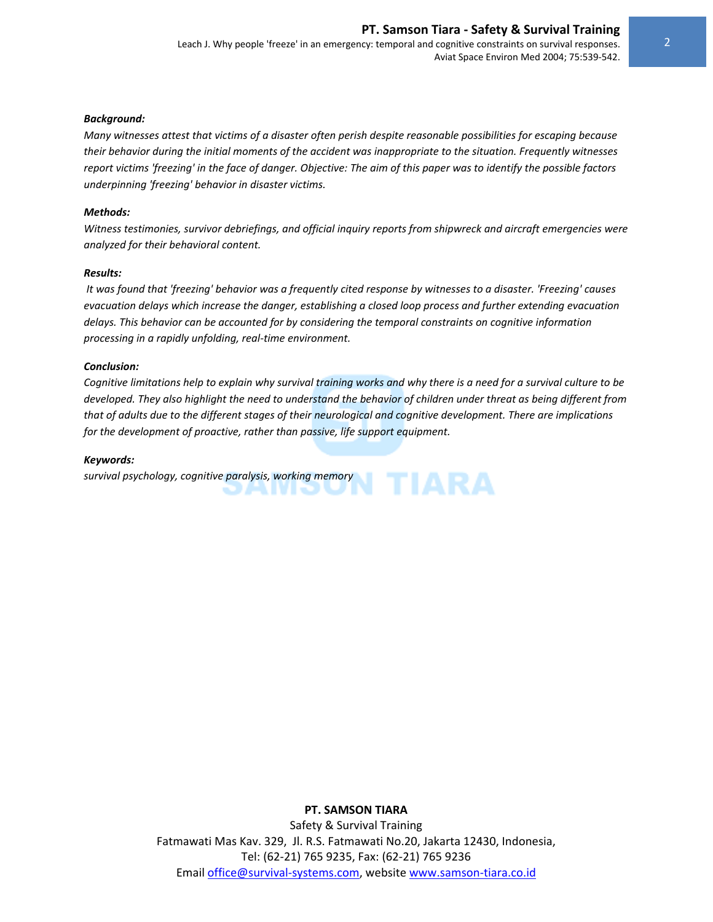Leach J. Why people 'freeze' in an emergency: temporal and cognitive constraints on survival responses. Aviat Space Environ Med 2004; 75:539‐542.

#### *Background:*

Many witnesses attest that victims of a disaster often perish despite reasonable possibilities for escaping because their behavior during the initial moments of the accident was inappropriate to the situation. Frequently witnesses report victims 'freezing' in the face of danger. Objective: The aim of this paper was to identify the possible factors *underpinning 'freezing' behavior in disaster victims.* 

#### *Methods:*

*Witness testimonies, survivor debriefings, and official inquiry reports from shipwreck and aircraft emergencies were analyzed for their behavioral content.* 

#### *Results:*

It was found that 'freezing' behavior was a frequently cited response by witnesses to a disaster. 'Freezing' causes *evacuation delays which increase the danger, establishing a closed loop process and further extending evacuation delays. This behavior can be accounted for by considering the temporal constraints on cognitive information processing in a rapidly unfolding, real‐time environment.* 

#### *Conclusion:*

Cognitive limitations help to explain why survival training works and why there is a need for a survival culture to be developed. They also highlight the need to understand the behavior of children under threat as being different from that of adults due to the different stages of their neurological and cognitive development. There are implications *for the development of proactive, rather than passive, life support equipment.* 

#### *Keywords:*

*survival psychology, cognitive paralysis, working memory*

#### **PT. SAMSON TIARA**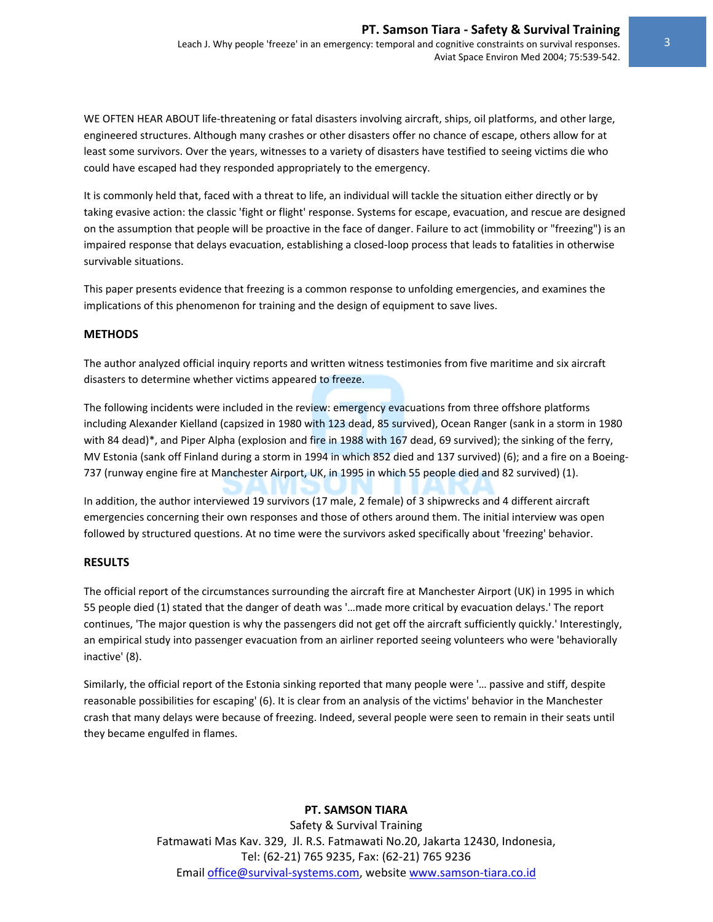Leach J. Why people 'freeze' in an emergency: temporal and cognitive constraints on survival responses. Aviat Space Environ Med 2004; 75:539‐542.

WE OFTEN HEAR ABOUT life-threatening or fatal disasters involving aircraft, ships, oil platforms, and other large, engineered structures. Although many crashes or other disasters offer no chance of escape, others allow for at least some survivors. Over the years, witnesses to a variety of disasters have testified to seeing victims die who could have escaped had they responded appropriately to the emergency.

It is commonly held that, faced with a threat to life, an individual will tackle the situation either directly or by taking evasive action: the classic 'fight or flight' response. Systems for escape, evacuation, and rescue are designed on the assumption that people will be proactive in the face of danger. Failure to act (immobility or "freezing") is an impaired response that delays evacuation, establishing a closed‐loop process that leads to fatalities in otherwise survivable situations.

This paper presents evidence that freezing is a common response to unfolding emergencies, and examines the implications of this phenomenon for training and the design of equipment to save lives.

#### **METHODS**

The author analyzed official inquiry reports and written witness testimonies from five maritime and six aircraft disasters to determine whether victims appeared to freeze.

The following incidents were included in the review: emergency evacuations from three offshore platforms including Alexander Kielland (capsized in 1980 with 123 dead, 85 survived), Ocean Ranger (sank in a storm in 1980 with 84 dead)\*, and Piper Alpha (explosion and fire in 1988 with 167 dead, 69 survived); the sinking of the ferry, MV Estonia (sank off Finland during a storm in 1994 in which 852 died and 137 survived) (6); and a fire on a Boeing‐ 737 (runway engine fire at Manchester Airport, UK, in 1995 in which 55 people died and 82 survived) (1).

In addition, the author interviewed 19 survivors (17 male, 2 female) of 3 shipwrecks and 4 different aircraft emergencies concerning their own responses and those of others around them. The initial interview was open followed by structured questions. At no time were the survivors asked specifically about 'freezing' behavior.

#### **RESULTS**

The official report of the circumstances surrounding the aircraft fire at Manchester Airport (UK) in 1995 in which 55 people died (1) stated that the danger of death was '…made more critical by evacuation delays.' The report continues, 'The major question is why the passengers did not get off the aircraft sufficiently quickly.' Interestingly, an empirical study into passenger evacuation from an airliner reported seeing volunteers who were 'behaviorally inactive' (8).

Similarly, the official report of the Estonia sinking reported that many people were '… passive and stiff, despite reasonable possibilities for escaping' (6). It is clear from an analysis of the victims' behavior in the Manchester crash that many delays were because of freezing. Indeed, several people were seen to remain in their seats until they became engulfed in flames.

#### **PT. SAMSON TIARA**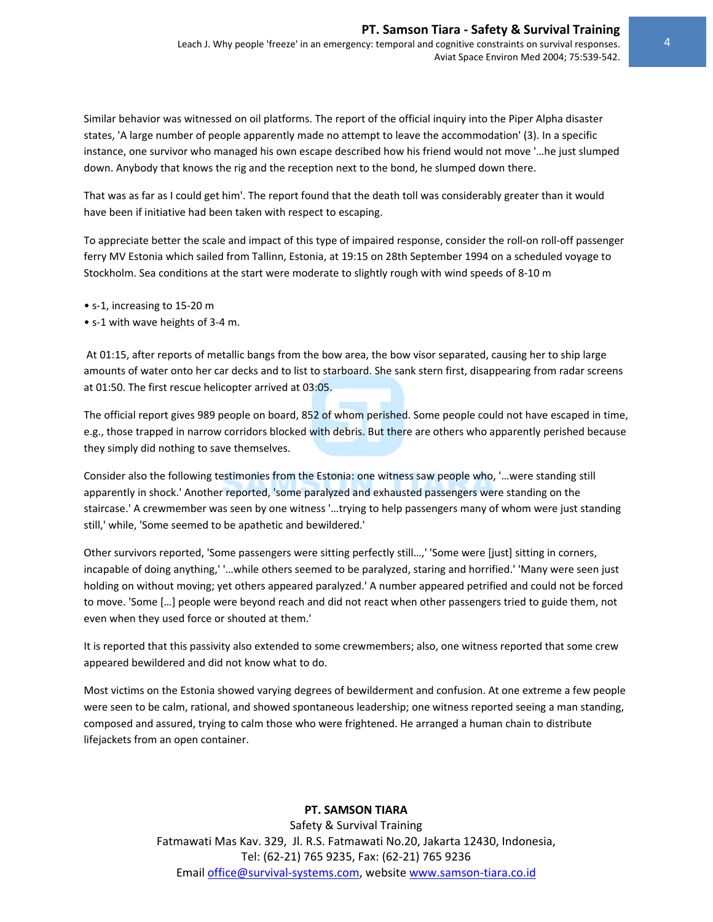Similar behavior was witnessed on oil platforms. The report of the official inquiry into the Piper Alpha disaster states, 'A large number of people apparently made no attempt to leave the accommodation' (3). In a specific instance, one survivor who managed his own escape described how his friend would not move '…he just slumped down. Anybody that knows the rig and the reception next to the bond, he slumped down there.

That was as far as I could get him'. The report found that the death toll was considerably greater than it would have been if initiative had been taken with respect to escaping.

To appreciate better the scale and impact of this type of impaired response, consider the roll‐on roll‐off passenger ferry MV Estonia which sailed from Tallinn, Estonia, at 19:15 on 28th September 1994 on a scheduled voyage to Stockholm. Sea conditions at the start were moderate to slightly rough with wind speeds of 8‐10 m

- s‐1, increasing to 15‐20 m
- s‐1 with wave heights of 3‐4 m.

At 01:15, after reports of metallic bangs from the bow area, the bow visor separated, causing her to ship large amounts of water onto her car decks and to list to starboard. She sank stern first, disappearing from radar screens at 01:50. The first rescue helicopter arrived at 03:05.

The official report gives 989 people on board, 852 of whom perished. Some people could not have escaped in time, e.g., those trapped in narrow corridors blocked with debris. But there are others who apparently perished because they simply did nothing to save themselves.

Consider also the following testimonies from the Estonia: one witness saw people who, '…were standing still apparently in shock.' Another reported, 'some paralyzed and exhausted passengers were standing on the staircase.' A crewmember was seen by one witness '…trying to help passengers many of whom were just standing still,' while, 'Some seemed to be apathetic and bewildered.'

Other survivors reported, 'Some passengers were sitting perfectly still…,' 'Some were [just] sitting in corners, incapable of doing anything,' '…while others seemed to be paralyzed, staring and horrified.' 'Many were seen just holding on without moving; yet others appeared paralyzed.' A number appeared petrified and could not be forced to move. 'Some […] people were beyond reach and did not react when other passengers tried to guide them, not even when they used force or shouted at them.'

It is reported that this passivity also extended to some crewmembers; also, one witness reported that some crew appeared bewildered and did not know what to do.

Most victims on the Estonia showed varying degrees of bewilderment and confusion. At one extreme a few people were seen to be calm, rational, and showed spontaneous leadership; one witness reported seeing a man standing, composed and assured, trying to calm those who were frightened. He arranged a human chain to distribute lifejackets from an open container.

# **PT. SAMSON TIARA**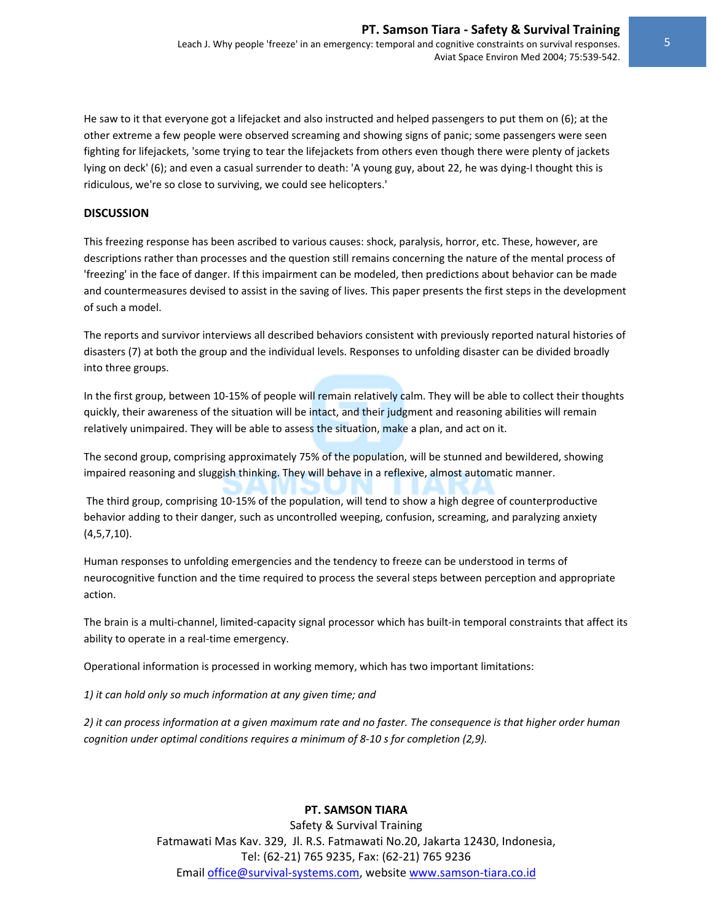Aviat Space Environ Med 2004; 75:539‐542.

He saw to it that everyone got a lifejacket and also instructed and helped passengers to put them on (6); at the other extreme a few people were observed screaming and showing signs of panic; some passengers were seen fighting for lifejackets, 'some trying to tear the lifejackets from others even though there were plenty of jackets lying on deck' (6); and even a casual surrender to death: 'A young guy, about 22, he was dying‐I thought this is ridiculous, we're so close to surviving, we could see helicopters.'

#### **DISCUSSION**

This freezing response has been ascribed to various causes: shock, paralysis, horror, etc. These, however, are descriptions rather than processes and the question still remains concerning the nature of the mental process of 'freezing' in the face of danger. If this impairment can be modeled, then predictions about behavior can be made and countermeasures devised to assist in the saving of lives. This paper presents the first steps in the development of such a model.

The reports and survivor interviews all described behaviors consistent with previously reported natural histories of disasters (7) at both the group and the individual levels. Responses to unfolding disaster can be divided broadly into three groups.

In the first group, between 10‐15% of people will remain relatively calm. They will be able to collect their thoughts quickly, their awareness of the situation will be intact, and their judgment and reasoning abilities will remain relatively unimpaired. They will be able to assess the situation, make a plan, and act on it.

The second group, comprising approximately 75% of the population, will be stunned and bewildered, showing impaired reasoning and sluggish thinking. They will behave in a reflexive, almost automatic manner.

The third group, comprising 10‐15% of the population, will tend to show a high degree of counterproductive behavior adding to their danger, such as uncontrolled weeping, confusion, screaming, and paralyzing anxiety (4,5,7,10).

Human responses to unfolding emergencies and the tendency to freeze can be understood in terms of neurocognitive function and the time required to process the several steps between perception and appropriate action.

The brain is a multi-channel, limited-capacity signal processor which has built-in temporal constraints that affect its ability to operate in a real-time emergency.

Operational information is processed in working memory, which has two important limitations:

*1) it can hold only so much information at any given time; and* 

2) it can process information at a given maximum rate and no faster. The consequence is that higher order human *cognition under optimal conditions requires a minimum of 8‐10 s for completion (2,9).* 

# **PT. SAMSON TIARA**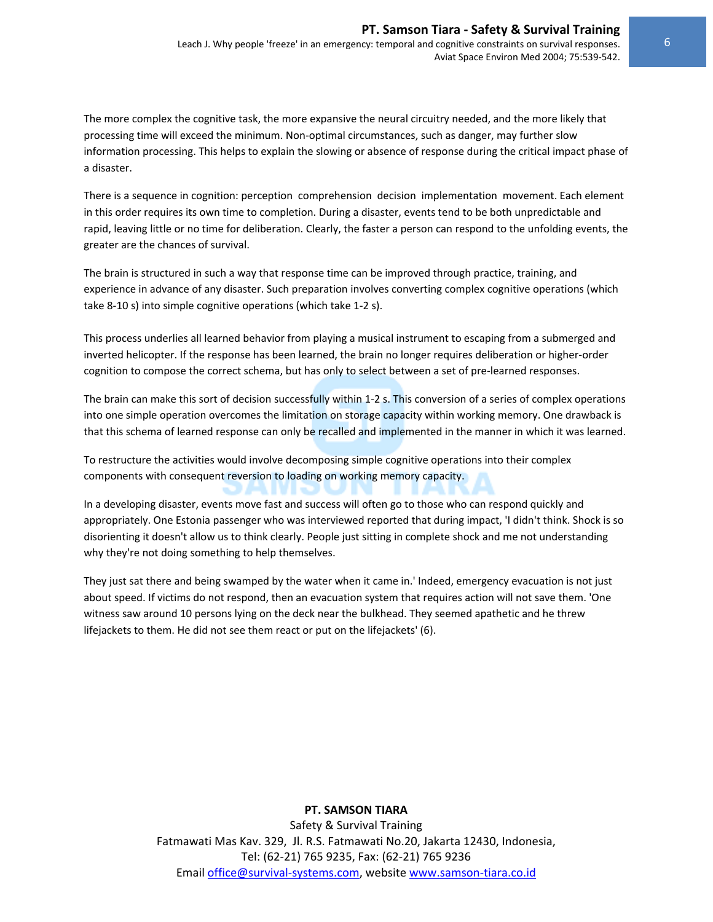The more complex the cognitive task, the more expansive the neural circuitry needed, and the more likely that processing time will exceed the minimum. Non-optimal circumstances, such as danger, may further slow information processing. This helps to explain the slowing or absence of response during the critical impact phase of a disaster.

There is a sequence in cognition: perception comprehension decision implementation movement. Each element in this order requires its own time to completion. During a disaster, events tend to be both unpredictable and rapid, leaving little or no time for deliberation. Clearly, the faster a person can respond to the unfolding events, the greater are the chances of survival.

The brain is structured in such a way that response time can be improved through practice, training, and experience in advance of any disaster. Such preparation involves converting complex cognitive operations (which take 8‐10 s) into simple cognitive operations (which take 1‐2 s).

This process underlies all learned behavior from playing a musical instrument to escaping from a submerged and inverted helicopter. If the response has been learned, the brain no longer requires deliberation or higher‐order cognition to compose the correct schema, but has only to select between a set of pre-learned responses.

The brain can make this sort of decision successfully within 1‐2 s. This conversion of a series of complex operations into one simple operation overcomes the limitation on storage capacity within working memory. One drawback is that this schema of learned response can only be recalled and implemented in the manner in which it was learned.

To restructure the activities would involve decomposing simple cognitive operations into their complex components with consequent reversion to loading on working memory capacity.

In a developing disaster, events move fast and success will often go to those who can respond quickly and appropriately. One Estonia passenger who was interviewed reported that during impact, 'I didn't think. Shock is so disorienting it doesn't allow us to think clearly. People just sitting in complete shock and me not understanding why they're not doing something to help themselves.

They just sat there and being swamped by the water when it came in.' Indeed, emergency evacuation is not just about speed. If victims do not respond, then an evacuation system that requires action will not save them. 'One witness saw around 10 persons lying on the deck near the bulkhead. They seemed apathetic and he threw lifejackets to them. He did not see them react or put on the lifejackets' (6).

# **PT. SAMSON TIARA**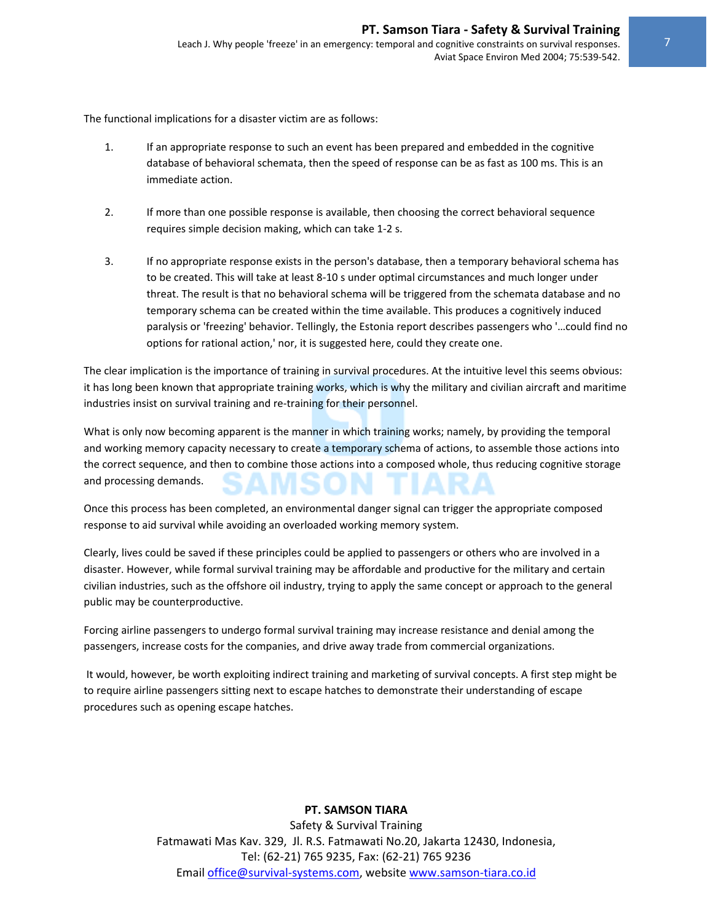The functional implications for a disaster victim are as follows:

- 1. If an appropriate response to such an event has been prepared and embedded in the cognitive database of behavioral schemata, then the speed of response can be as fast as 100 ms. This is an immediate action.
- 2. If more than one possible response is available, then choosing the correct behavioral sequence requires simple decision making, which can take 1‐2 s.
- 3. If no appropriate response exists in the person's database, then a temporary behavioral schema has to be created. This will take at least 8‐10 s under optimal circumstances and much longer under threat. The result is that no behavioral schema will be triggered from the schemata database and no temporary schema can be created within the time available. This produces a cognitively induced paralysis or 'freezing' behavior. Tellingly, the Estonia report describes passengers who '…could find no options for rational action,' nor, it is suggested here, could they create one.

The clear implication is the importance of training in survival procedures. At the intuitive level this seems obvious: it has long been known that appropriate training works, which is why the military and civilian aircraft and maritime industries insist on survival training and re-training for their personnel.

What is only now becoming apparent is the manner in which training works; namely, by providing the temporal and working memory capacity necessary to create a temporary schema of actions, to assemble those actions into the correct sequence, and then to combine those actions into a composed whole, thus reducing cognitive storage and processing demands.

Once this process has been completed, an environmental danger signal can trigger the appropriate composed response to aid survival while avoiding an overloaded working memory system.

Clearly, lives could be saved if these principles could be applied to passengers or others who are involved in a disaster. However, while formal survival training may be affordable and productive for the military and certain civilian industries, such as the offshore oil industry, trying to apply the same concept or approach to the general public may be counterproductive.

Forcing airline passengers to undergo formal survival training may increase resistance and denial among the passengers, increase costs for the companies, and drive away trade from commercial organizations.

It would, however, be worth exploiting indirect training and marketing of survival concepts. A first step might be to require airline passengers sitting next to escape hatches to demonstrate their understanding of escape procedures such as opening escape hatches.

# **PT. SAMSON TIARA**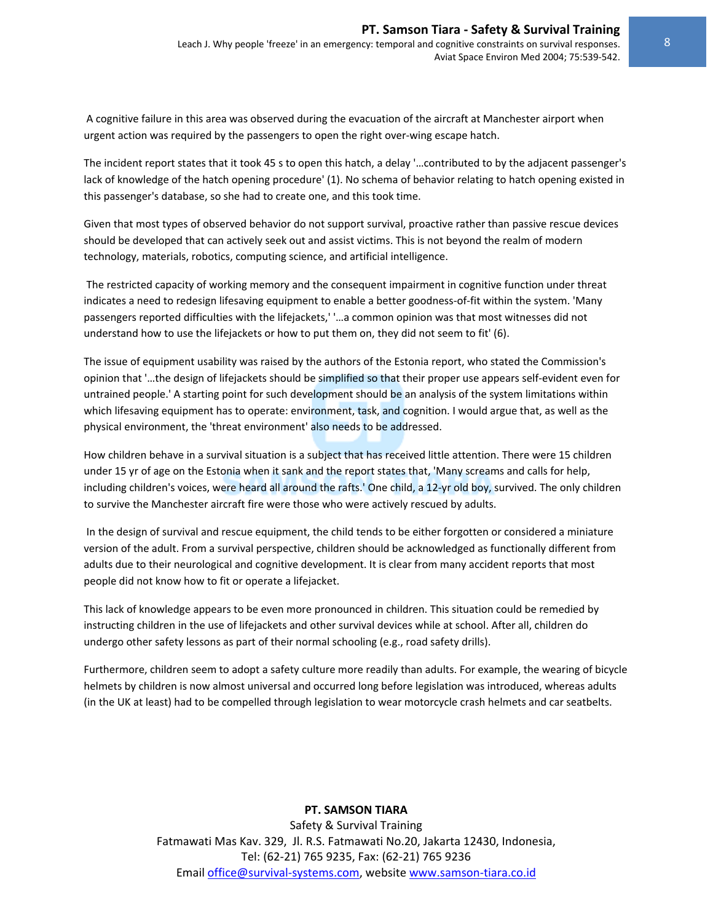A cognitive failure in this area was observed during the evacuation of the aircraft at Manchester airport when urgent action was required by the passengers to open the right over‐wing escape hatch.

The incident report states that it took 45 s to open this hatch, a delay '…contributed to by the adjacent passenger's lack of knowledge of the hatch opening procedure' (1). No schema of behavior relating to hatch opening existed in this passenger's database, so she had to create one, and this took time.

Given that most types of observed behavior do not support survival, proactive rather than passive rescue devices should be developed that can actively seek out and assist victims. This is not beyond the realm of modern technology, materials, robotics, computing science, and artificial intelligence.

The restricted capacity of working memory and the consequent impairment in cognitive function under threat indicates a need to redesign lifesaving equipment to enable a better goodness-of-fit within the system. 'Many passengers reported difficulties with the lifejackets,' '…a common opinion was that most witnesses did not understand how to use the lifejackets or how to put them on, they did not seem to fit' (6).

The issue of equipment usability was raised by the authors of the Estonia report, who stated the Commission's opinion that '…the design of lifejackets should be simplified so that their proper use appears self‐evident even for untrained people.' A starting point for such development should be an analysis of the system limitations within which lifesaving equipment has to operate: environment, task, and cognition. I would argue that, as well as the physical environment, the 'threat environment' also needs to be addressed.

How children behave in a survival situation is a subject that has received little attention. There were 15 children under 15 yr of age on the Estonia when it sank and the report states that, 'Many screams and calls for help, including children's voices, were heard all around the rafts.' One child, a 12‐yr old boy, survived. The only children to survive the Manchester aircraft fire were those who were actively rescued by adults.

In the design of survival and rescue equipment, the child tends to be either forgotten or considered a miniature version of the adult. From a survival perspective, children should be acknowledged as functionally different from adults due to their neurological and cognitive development. It is clear from many accident reports that most people did not know how to fit or operate a lifejacket.

This lack of knowledge appears to be even more pronounced in children. This situation could be remedied by instructing children in the use of lifejackets and other survival devices while at school. After all, children do undergo other safety lessons as part of their normal schooling (e.g., road safety drills).

Furthermore, children seem to adopt a safety culture more readily than adults. For example, the wearing of bicycle helmets by children is now almost universal and occurred long before legislation was introduced, whereas adults (in the UK at least) had to be compelled through legislation to wear motorcycle crash helmets and car seatbelts.

# **PT. SAMSON TIARA**